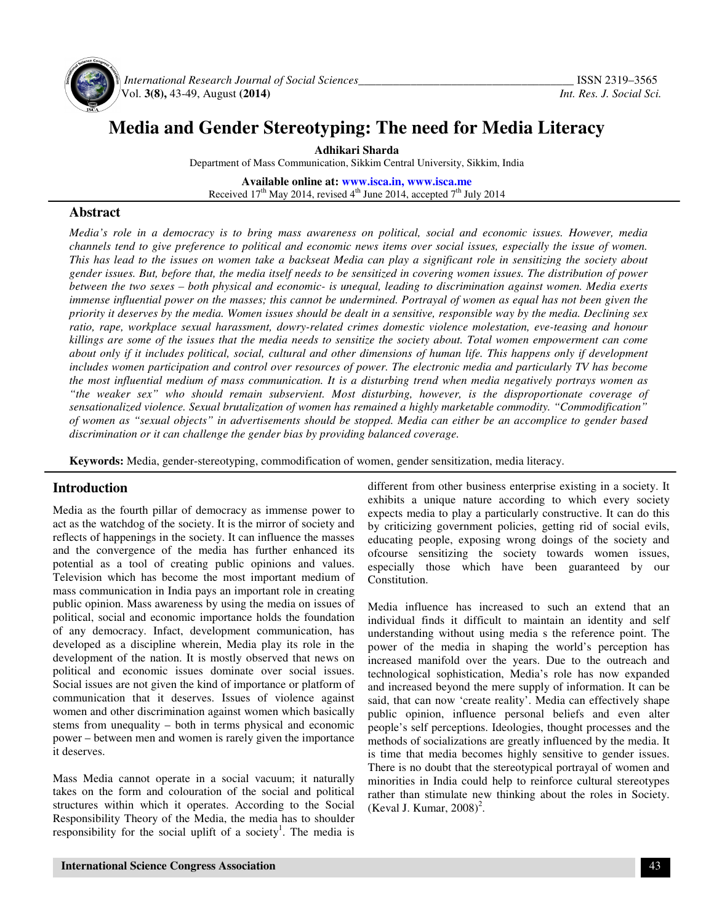

 *International Research Journal of Social Sciences\_\_\_\_\_\_\_\_\_\_\_\_\_\_\_\_\_\_\_\_\_\_\_\_\_\_\_\_\_\_\_\_\_\_\_\_\_* ISSN 2319–3565 Vol. **3(8),** 43-49, August **(2014)** *Int. Res. J. Social Sci.*

# **Media and Gender Stereotyping: The need for Media Literacy**

**Adhikari Sharda** 

Department of Mass Communication, Sikkim Central University, Sikkim, India

**Available online at: www.isca.in, www.isca.me** Received  $17<sup>th</sup>$  May 2014, revised 4<sup>th</sup> June 2014, accepted  $7<sup>th</sup>$  July 2014

### **Abstract**

*Media's role in a democracy is to bring mass awareness on political, social and economic issues. However, media channels tend to give preference to political and economic news items over social issues, especially the issue of women. This has lead to the issues on women take a backseat Media can play a significant role in sensitizing the society about gender issues. But, before that, the media itself needs to be sensitized in covering women issues. The distribution of power between the two sexes – both physical and economic- is unequal, leading to discrimination against women. Media exerts immense influential power on the masses; this cannot be undermined. Portrayal of women as equal has not been given the priority it deserves by the media. Women issues should be dealt in a sensitive, responsible way by the media. Declining sex ratio, rape, workplace sexual harassment, dowry-related crimes domestic violence molestation, eve-teasing and honour killings are some of the issues that the media needs to sensitize the society about. Total women empowerment can come about only if it includes political, social, cultural and other dimensions of human life. This happens only if development*  includes women participation and control over resources of power. The electronic media and particularly TV has become *the most influential medium of mass communication. It is a disturbing trend when media negatively portrays women as "the weaker sex" who should remain subservient. Most disturbing, however, is the disproportionate coverage of sensationalized violence. Sexual brutalization of women has remained a highly marketable commodity. "Commodification" of women as "sexual objects" in advertisements should be stopped. Media can either be an accomplice to gender based discrimination or it can challenge the gender bias by providing balanced coverage.* 

**Keywords:** Media, gender-stereotyping, commodification of women, gender sensitization, media literacy.

## **Introduction**

Media as the fourth pillar of democracy as immense power to act as the watchdog of the society. It is the mirror of society and reflects of happenings in the society. It can influence the masses and the convergence of the media has further enhanced its potential as a tool of creating public opinions and values. Television which has become the most important medium of mass communication in India pays an important role in creating public opinion. Mass awareness by using the media on issues of political, social and economic importance holds the foundation of any democracy. Infact, development communication, has developed as a discipline wherein, Media play its role in the development of the nation. It is mostly observed that news on political and economic issues dominate over social issues. Social issues are not given the kind of importance or platform of communication that it deserves. Issues of violence against women and other discrimination against women which basically stems from unequality – both in terms physical and economic power – between men and women is rarely given the importance it deserves.

Mass Media cannot operate in a social vacuum; it naturally takes on the form and colouration of the social and political structures within which it operates. According to the Social Responsibility Theory of the Media, the media has to shoulder responsibility for the social uplift of a society<sup>1</sup>. The media is different from other business enterprise existing in a society. It exhibits a unique nature according to which every society expects media to play a particularly constructive. It can do this by criticizing government policies, getting rid of social evils, educating people, exposing wrong doings of the society and ofcourse sensitizing the society towards women issues, especially those which have been guaranteed by our Constitution.

Media influence has increased to such an extend that an individual finds it difficult to maintain an identity and self understanding without using media s the reference point. The power of the media in shaping the world's perception has increased manifold over the years. Due to the outreach and technological sophistication, Media's role has now expanded and increased beyond the mere supply of information. It can be said, that can now 'create reality'. Media can effectively shape public opinion, influence personal beliefs and even alter people's self perceptions. Ideologies, thought processes and the methods of socializations are greatly influenced by the media. It is time that media becomes highly sensitive to gender issues. There is no doubt that the stereotypical portrayal of women and minorities in India could help to reinforce cultural stereotypes rather than stimulate new thinking about the roles in Society.  $(Keval J. Kumar, 2008)^2$ .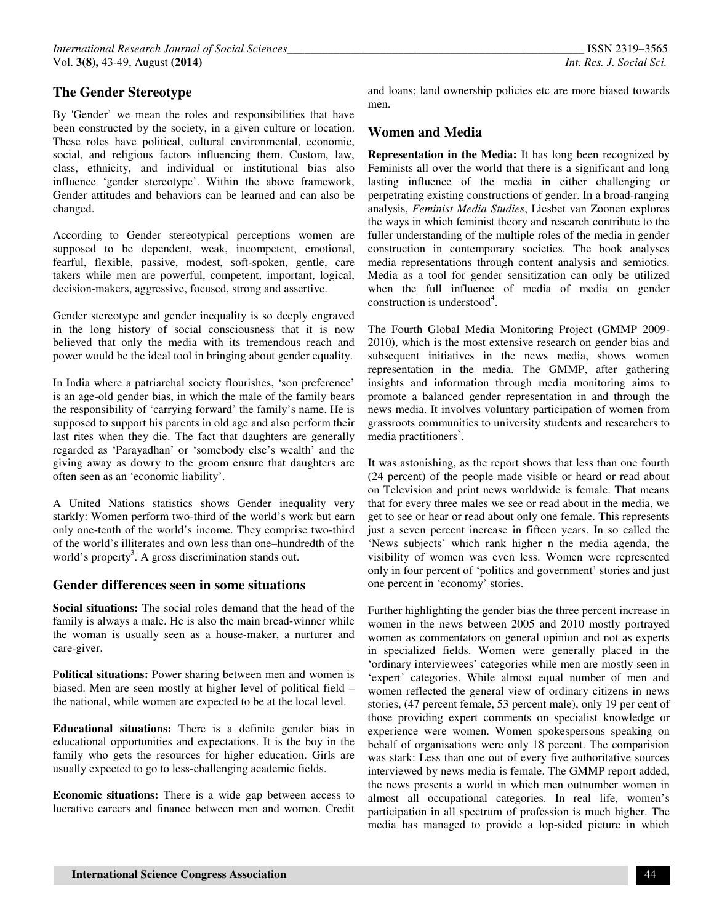# **The Gender Stereotype**

By 'Gender' we mean the roles and responsibilities that have been constructed by the society, in a given culture or location. These roles have political, cultural environmental, economic, social, and religious factors influencing them. Custom, law, class, ethnicity, and individual or institutional bias also influence 'gender stereotype'. Within the above framework, Gender attitudes and behaviors can be learned and can also be changed.

According to Gender stereotypical perceptions women are supposed to be dependent, weak, incompetent, emotional, fearful, flexible, passive, modest, soft-spoken, gentle, care takers while men are powerful, competent, important, logical, decision-makers, aggressive, focused, strong and assertive.

Gender stereotype and gender inequality is so deeply engraved in the long history of social consciousness that it is now believed that only the media with its tremendous reach and power would be the ideal tool in bringing about gender equality.

In India where a patriarchal society flourishes, 'son preference' is an age-old gender bias, in which the male of the family bears the responsibility of 'carrying forward' the family's name. He is supposed to support his parents in old age and also perform their last rites when they die. The fact that daughters are generally regarded as 'Parayadhan' or 'somebody else's wealth' and the giving away as dowry to the groom ensure that daughters are often seen as an 'economic liability'.

A United Nations statistics shows Gender inequality very starkly: Women perform two-third of the world's work but earn only one-tenth of the world's income. They comprise two-third of the world's illiterates and own less than one–hundredth of the world's property<sup>3</sup>. A gross discrimination stands out.

#### **Gender differences seen in some situations**

**Social situations:** The social roles demand that the head of the family is always a male. He is also the main bread-winner while the woman is usually seen as a house-maker, a nurturer and care-giver.

P**olitical situations:** Power sharing between men and women is biased. Men are seen mostly at higher level of political field – the national, while women are expected to be at the local level.

**Educational situations:** There is a definite gender bias in educational opportunities and expectations. It is the boy in the family who gets the resources for higher education. Girls are usually expected to go to less-challenging academic fields.

**Economic situations:** There is a wide gap between access to lucrative careers and finance between men and women. Credit

and loans; land ownership policies etc are more biased towards men.

# **Women and Media**

**Representation in the Media:** It has long been recognized by Feminists all over the world that there is a significant and long lasting influence of the media in either challenging or perpetrating existing constructions of gender. In a broad-ranging analysis, *Feminist Media Studies*, Liesbet van Zoonen explores the ways in which feminist theory and research contribute to the fuller understanding of the multiple roles of the media in gender construction in contemporary societies. The book analyses media representations through content analysis and semiotics. Media as a tool for gender sensitization can only be utilized when the full influence of media of media on gender construction is understood<sup>4</sup>.

The Fourth Global Media Monitoring Project (GMMP 2009- 2010), which is the most extensive research on gender bias and subsequent initiatives in the news media, shows women representation in the media. The GMMP, after gathering insights and information through media monitoring aims to promote a balanced gender representation in and through the news media. It involves voluntary participation of women from grassroots communities to university students and researchers to media practitioners<sup>5</sup>.

It was astonishing, as the report shows that less than one fourth (24 percent) of the people made visible or heard or read about on Television and print news worldwide is female. That means that for every three males we see or read about in the media, we get to see or hear or read about only one female. This represents just a seven percent increase in fifteen years. In so called the 'News subjects' which rank higher n the media agenda, the visibility of women was even less. Women were represented only in four percent of 'politics and government' stories and just one percent in 'economy' stories.

Further highlighting the gender bias the three percent increase in women in the news between 2005 and 2010 mostly portrayed women as commentators on general opinion and not as experts in specialized fields. Women were generally placed in the 'ordinary interviewees' categories while men are mostly seen in 'expert' categories. While almost equal number of men and women reflected the general view of ordinary citizens in news stories, (47 percent female, 53 percent male), only 19 per cent of those providing expert comments on specialist knowledge or experience were women. Women spokespersons speaking on behalf of organisations were only 18 percent. The comparision was stark: Less than one out of every five authoritative sources interviewed by news media is female. The GMMP report added, the news presents a world in which men outnumber women in almost all occupational categories. In real life, women's participation in all spectrum of profession is much higher. The media has managed to provide a lop-sided picture in which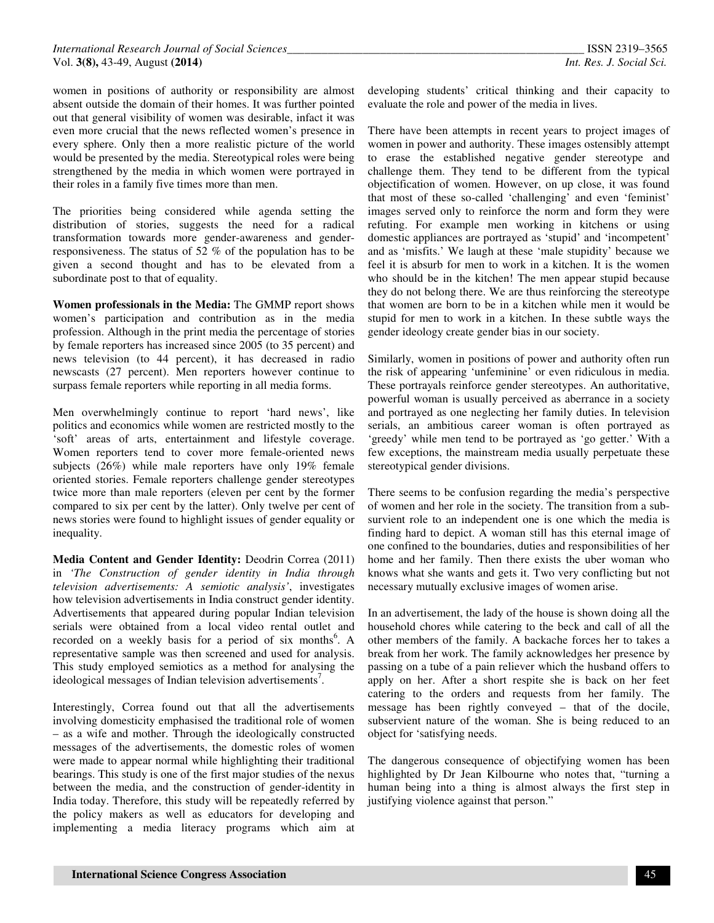women in positions of authority or responsibility are almost absent outside the domain of their homes. It was further pointed out that general visibility of women was desirable, infact it was even more crucial that the news reflected women's presence in every sphere. Only then a more realistic picture of the world would be presented by the media. Stereotypical roles were being strengthened by the media in which women were portrayed in their roles in a family five times more than men.

The priorities being considered while agenda setting the distribution of stories, suggests the need for a radical transformation towards more gender-awareness and genderresponsiveness. The status of 52 % of the population has to be given a second thought and has to be elevated from a subordinate post to that of equality.

**Women professionals in the Media:** The GMMP report shows women's participation and contribution as in the media profession. Although in the print media the percentage of stories by female reporters has increased since 2005 (to 35 percent) and news television (to 44 percent), it has decreased in radio newscasts (27 percent). Men reporters however continue to surpass female reporters while reporting in all media forms.

Men overwhelmingly continue to report 'hard news', like politics and economics while women are restricted mostly to the 'soft' areas of arts, entertainment and lifestyle coverage. Women reporters tend to cover more female-oriented news subjects (26%) while male reporters have only 19% female oriented stories. Female reporters challenge gender stereotypes twice more than male reporters (eleven per cent by the former compared to six per cent by the latter). Only twelve per cent of news stories were found to highlight issues of gender equality or inequality.

**Media Content and Gender Identity:** Deodrin Correa (2011) in *'The Construction of gender identity in India through television advertisements: A semiotic analysis'*, investigates how television advertisements in India construct gender identity. Advertisements that appeared during popular Indian television serials were obtained from a local video rental outlet and recorded on a weekly basis for a period of six months<sup>6</sup>. A representative sample was then screened and used for analysis. This study employed semiotics as a method for analysing the ideological messages of Indian television advertisements<sup>7</sup>.

Interestingly, Correa found out that all the advertisements involving domesticity emphasised the traditional role of women – as a wife and mother. Through the ideologically constructed messages of the advertisements, the domestic roles of women were made to appear normal while highlighting their traditional bearings. This study is one of the first major studies of the nexus between the media, and the construction of gender-identity in India today. Therefore, this study will be repeatedly referred by the policy makers as well as educators for developing and implementing a media literacy programs which aim at

developing students' critical thinking and their capacity to evaluate the role and power of the media in lives.

There have been attempts in recent years to project images of women in power and authority. These images ostensibly attempt to erase the established negative gender stereotype and challenge them. They tend to be different from the typical objectification of women. However, on up close, it was found that most of these so-called 'challenging' and even 'feminist' images served only to reinforce the norm and form they were refuting. For example men working in kitchens or using domestic appliances are portrayed as 'stupid' and 'incompetent' and as 'misfits.' We laugh at these 'male stupidity' because we feel it is absurb for men to work in a kitchen. It is the women who should be in the kitchen! The men appear stupid because they do not belong there. We are thus reinforcing the stereotype that women are born to be in a kitchen while men it would be stupid for men to work in a kitchen. In these subtle ways the gender ideology create gender bias in our society.

Similarly, women in positions of power and authority often run the risk of appearing 'unfeminine' or even ridiculous in media. These portrayals reinforce gender stereotypes. An authoritative, powerful woman is usually perceived as aberrance in a society and portrayed as one neglecting her family duties. In television serials, an ambitious career woman is often portrayed as 'greedy' while men tend to be portrayed as 'go getter.' With a few exceptions, the mainstream media usually perpetuate these stereotypical gender divisions.

There seems to be confusion regarding the media's perspective of women and her role in the society. The transition from a subsurvient role to an independent one is one which the media is finding hard to depict. A woman still has this eternal image of one confined to the boundaries, duties and responsibilities of her home and her family. Then there exists the uber woman who knows what she wants and gets it. Two very conflicting but not necessary mutually exclusive images of women arise.

In an advertisement, the lady of the house is shown doing all the household chores while catering to the beck and call of all the other members of the family. A backache forces her to takes a break from her work. The family acknowledges her presence by passing on a tube of a pain reliever which the husband offers to apply on her. After a short respite she is back on her feet catering to the orders and requests from her family. The message has been rightly conveyed – that of the docile, subservient nature of the woman. She is being reduced to an object for 'satisfying needs.

The dangerous consequence of objectifying women has been highlighted by Dr Jean Kilbourne who notes that, "turning a human being into a thing is almost always the first step in justifying violence against that person."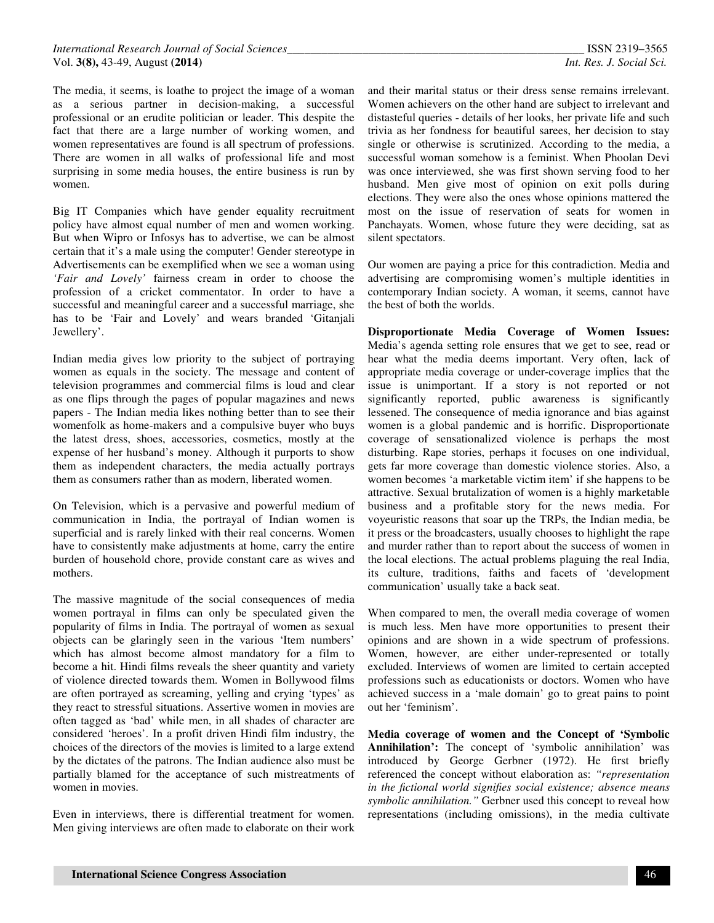The media, it seems, is loathe to project the image of a woman as a serious partner in decision-making, a successful professional or an erudite politician or leader. This despite the fact that there are a large number of working women, and women representatives are found is all spectrum of professions. There are women in all walks of professional life and most surprising in some media houses, the entire business is run by women.

Big IT Companies which have gender equality recruitment policy have almost equal number of men and women working. But when Wipro or Infosys has to advertise, we can be almost certain that it's a male using the computer! Gender stereotype in Advertisements can be exemplified when we see a woman using *'Fair and Lovely'* fairness cream in order to choose the profession of a cricket commentator. In order to have a successful and meaningful career and a successful marriage, she has to be 'Fair and Lovely' and wears branded 'Gitanjali Jewellery'.

Indian media gives low priority to the subject of portraying women as equals in the society. The message and content of television programmes and commercial films is loud and clear as one flips through the pages of popular magazines and news papers - The Indian media likes nothing better than to see their womenfolk as home-makers and a compulsive buyer who buys the latest dress, shoes, accessories, cosmetics, mostly at the expense of her husband's money. Although it purports to show them as independent characters, the media actually portrays them as consumers rather than as modern, liberated women.

On Television, which is a pervasive and powerful medium of communication in India, the portrayal of Indian women is superficial and is rarely linked with their real concerns. Women have to consistently make adjustments at home, carry the entire burden of household chore, provide constant care as wives and mothers.

The massive magnitude of the social consequences of media women portrayal in films can only be speculated given the popularity of films in India. The portrayal of women as sexual objects can be glaringly seen in the various 'Item numbers' which has almost become almost mandatory for a film to become a hit. Hindi films reveals the sheer quantity and variety of violence directed towards them. Women in Bollywood films are often portrayed as screaming, yelling and crying 'types' as they react to stressful situations. Assertive women in movies are often tagged as 'bad' while men, in all shades of character are considered 'heroes'. In a profit driven Hindi film industry, the choices of the directors of the movies is limited to a large extend by the dictates of the patrons. The Indian audience also must be partially blamed for the acceptance of such mistreatments of women in movies.

Even in interviews, there is differential treatment for women. Men giving interviews are often made to elaborate on their work

and their marital status or their dress sense remains irrelevant. Women achievers on the other hand are subject to irrelevant and distasteful queries - details of her looks, her private life and such trivia as her fondness for beautiful sarees, her decision to stay single or otherwise is scrutinized. According to the media, a successful woman somehow is a feminist. When Phoolan Devi was once interviewed, she was first shown serving food to her husband. Men give most of opinion on exit polls during elections. They were also the ones whose opinions mattered the most on the issue of reservation of seats for women in Panchayats. Women, whose future they were deciding, sat as silent spectators.

Our women are paying a price for this contradiction. Media and advertising are compromising women's multiple identities in contemporary Indian society. A woman, it seems, cannot have the best of both the worlds.

**Disproportionate Media Coverage of Women Issues:**  Media's agenda setting role ensures that we get to see, read or hear what the media deems important. Very often, lack of appropriate media coverage or under-coverage implies that the issue is unimportant. If a story is not reported or not significantly reported, public awareness is significantly lessened. The consequence of media ignorance and bias against women is a global pandemic and is horrific. Disproportionate coverage of sensationalized violence is perhaps the most disturbing. Rape stories, perhaps it focuses on one individual, gets far more coverage than domestic violence stories. Also, a women becomes 'a marketable victim item' if she happens to be attractive. Sexual brutalization of women is a highly marketable business and a profitable story for the news media. For voyeuristic reasons that soar up the TRPs, the Indian media, be it press or the broadcasters, usually chooses to highlight the rape and murder rather than to report about the success of women in the local elections. The actual problems plaguing the real India, its culture, traditions, faiths and facets of 'development communication' usually take a back seat.

When compared to men, the overall media coverage of women is much less. Men have more opportunities to present their opinions and are shown in a wide spectrum of professions. Women, however, are either under-represented or totally excluded. Interviews of women are limited to certain accepted professions such as educationists or doctors. Women who have achieved success in a 'male domain' go to great pains to point out her 'feminism'.

**Media coverage of women and the Concept of 'Symbolic Annihilation':** The concept of 'symbolic annihilation' was introduced by George Gerbner (1972). He first briefly referenced the concept without elaboration as: *"representation in the fictional world signifies social existence; absence means symbolic annihilation."* Gerbner used this concept to reveal how representations (including omissions), in the media cultivate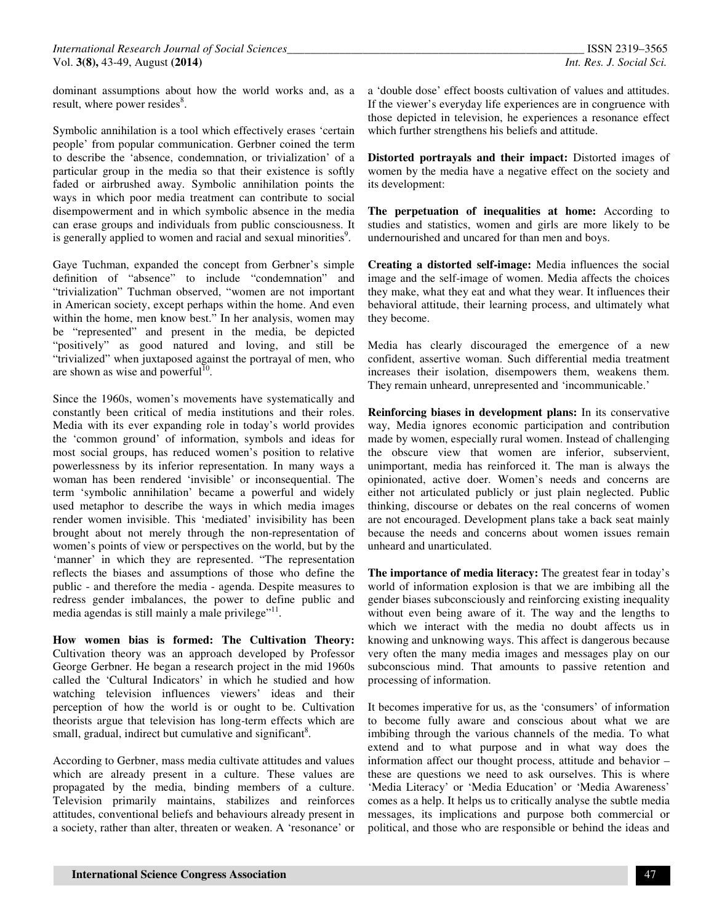dominant assumptions about how the world works and, as a result, where power resides<sup>8</sup>.

Symbolic annihilation is a tool which effectively erases 'certain people' from popular communication. Gerbner coined the term to describe the 'absence, condemnation, or trivialization' of a particular group in the media so that their existence is softly faded or airbrushed away. Symbolic annihilation points the ways in which poor media treatment can contribute to social disempowerment and in which symbolic absence in the media can erase groups and individuals from public consciousness. It is generally applied to women and racial and sexual minorities<sup>9</sup>.

Gaye Tuchman, expanded the concept from Gerbner's simple definition of "absence" to include "condemnation" and "trivialization" Tuchman observed, "women are not important in American society, except perhaps within the home. And even within the home, men know best." In her analysis, women may be "represented" and present in the media, be depicted "positively" as good natured and loving, and still be "trivialized" when juxtaposed against the portrayal of men, who are shown as wise and powerful<sup>10</sup>.

Since the 1960s, women's movements have systematically and constantly been critical of media institutions and their roles. Media with its ever expanding role in today's world provides the 'common ground' of information, symbols and ideas for most social groups, has reduced women's position to relative powerlessness by its inferior representation. In many ways a woman has been rendered 'invisible' or inconsequential. The term 'symbolic annihilation' became a powerful and widely used metaphor to describe the ways in which media images render women invisible. This 'mediated' invisibility has been brought about not merely through the non-representation of women's points of view or perspectives on the world, but by the 'manner' in which they are represented. "The representation reflects the biases and assumptions of those who define the public - and therefore the media - agenda. Despite measures to redress gender imbalances, the power to define public and media agendas is still mainly a male privilege"<sup>11</sup>.

**How women bias is formed: The Cultivation Theory:**  Cultivation theory was an approach developed by Professor George Gerbner. He began a research project in the mid 1960s called the 'Cultural Indicators' in which he studied and how watching television influences viewers' ideas and their perception of how the world is or ought to be. Cultivation theorists argue that television has long-term effects which are small, gradual, indirect but cumulative and significant<sup>8</sup>.

According to Gerbner, mass media cultivate attitudes and values which are already present in a culture. These values are propagated by the media, binding members of a culture. Television primarily maintains, stabilizes and reinforces attitudes, conventional beliefs and behaviours already present in a society, rather than alter, threaten or weaken. A 'resonance' or

a 'double dose' effect boosts cultivation of values and attitudes. If the viewer's everyday life experiences are in congruence with those depicted in television, he experiences a resonance effect which further strengthens his beliefs and attitude.

**Distorted portrayals and their impact:** Distorted images of women by the media have a negative effect on the society and its development:

**The perpetuation of inequalities at home:** According to studies and statistics, women and girls are more likely to be undernourished and uncared for than men and boys.

**Creating a distorted self-image:** Media influences the social image and the self-image of women. Media affects the choices they make, what they eat and what they wear. It influences their behavioral attitude, their learning process, and ultimately what they become.

Media has clearly discouraged the emergence of a new confident, assertive woman. Such differential media treatment increases their isolation, disempowers them, weakens them. They remain unheard, unrepresented and 'incommunicable.'

**Reinforcing biases in development plans:** In its conservative way, Media ignores economic participation and contribution made by women, especially rural women. Instead of challenging the obscure view that women are inferior, subservient, unimportant, media has reinforced it. The man is always the opinionated, active doer. Women's needs and concerns are either not articulated publicly or just plain neglected. Public thinking, discourse or debates on the real concerns of women are not encouraged. Development plans take a back seat mainly because the needs and concerns about women issues remain unheard and unarticulated.

**The importance of media literacy:** The greatest fear in today's world of information explosion is that we are imbibing all the gender biases subconsciously and reinforcing existing inequality without even being aware of it. The way and the lengths to which we interact with the media no doubt affects us in knowing and unknowing ways. This affect is dangerous because very often the many media images and messages play on our subconscious mind. That amounts to passive retention and processing of information.

It becomes imperative for us, as the 'consumers' of information to become fully aware and conscious about what we are imbibing through the various channels of the media. To what extend and to what purpose and in what way does the information affect our thought process, attitude and behavior – these are questions we need to ask ourselves. This is where 'Media Literacy' or 'Media Education' or 'Media Awareness' comes as a help. It helps us to critically analyse the subtle media messages, its implications and purpose both commercial or political, and those who are responsible or behind the ideas and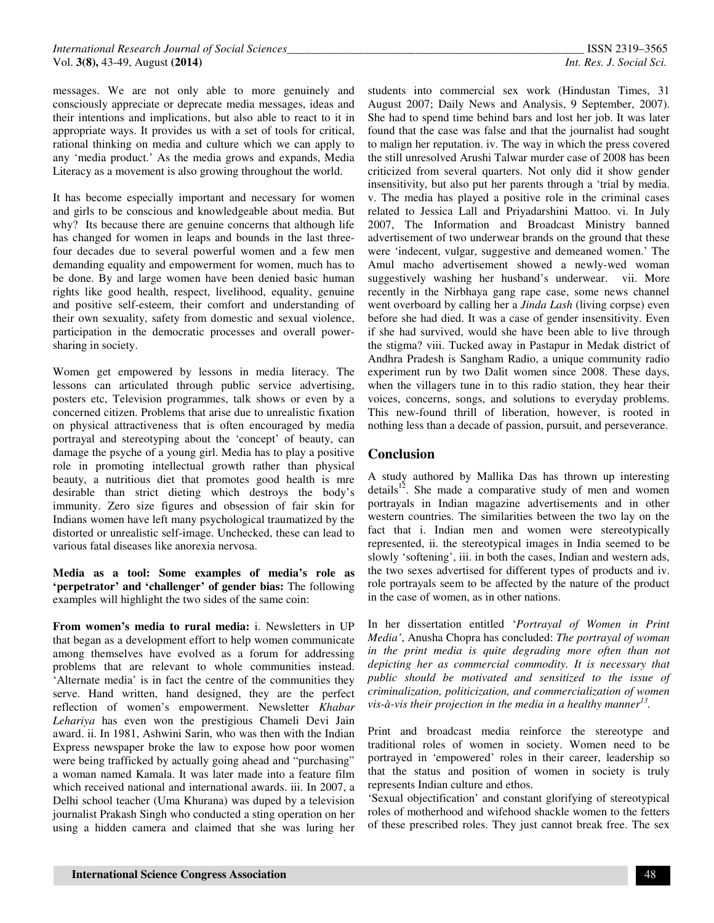messages. We are not only able to more genuinely and consciously appreciate or deprecate media messages, ideas and their intentions and implications, but also able to react to it in appropriate ways. It provides us with a set of tools for critical, rational thinking on media and culture which we can apply to any 'media product.' As the media grows and expands, Media Literacy as a movement is also growing throughout the world.

It has become especially important and necessary for women and girls to be conscious and knowledgeable about media. But why? Its because there are genuine concerns that although life has changed for women in leaps and bounds in the last threefour decades due to several powerful women and a few men demanding equality and empowerment for women, much has to be done. By and large women have been denied basic human rights like good health, respect, livelihood, equality, genuine and positive self-esteem, their comfort and understanding of their own sexuality, safety from domestic and sexual violence, participation in the democratic processes and overall powersharing in society.

Women get empowered by lessons in media literacy. The lessons can articulated through public service advertising, posters etc, Television programmes, talk shows or even by a concerned citizen. Problems that arise due to unrealistic fixation on physical attractiveness that is often encouraged by media portrayal and stereotyping about the 'concept' of beauty, can damage the psyche of a young girl. Media has to play a positive role in promoting intellectual growth rather than physical beauty, a nutritious diet that promotes good health is mre desirable than strict dieting which destroys the body's immunity. Zero size figures and obsession of fair skin for Indians women have left many psychological traumatized by the distorted or unrealistic self-image. Unchecked, these can lead to various fatal diseases like anorexia nervosa.

**Media as a tool: Some examples of media's role as 'perpetrator' and 'challenger' of gender bias:** The following examples will highlight the two sides of the same coin:

**From women's media to rural media:** i. Newsletters in UP that began as a development effort to help women communicate among themselves have evolved as a forum for addressing problems that are relevant to whole communities instead. 'Alternate media' is in fact the centre of the communities they serve. Hand written, hand designed, they are the perfect reflection of women's empowerment. Newsletter *Khabar Lehariya* has even won the prestigious Chameli Devi Jain award. ii. In 1981, Ashwini Sarin, who was then with the Indian Express newspaper broke the law to expose how poor women were being trafficked by actually going ahead and "purchasing" a woman named Kamala. It was later made into a feature film which received national and international awards, iii. In 2007, a Delhi school teacher (Uma Khurana) was duped by a television journalist Prakash Singh who conducted a sting operation on her using a hidden camera and claimed that she was luring her

students into commercial sex work (Hindustan Times, 31 August 2007; Daily News and Analysis, 9 September, 2007). She had to spend time behind bars and lost her job. It was later found that the case was false and that the journalist had sought to malign her reputation. iv. The way in which the press covered the still unresolved Arushi Talwar murder case of 2008 has been criticized from several quarters. Not only did it show gender insensitivity, but also put her parents through a 'trial by media. v. The media has played a positive role in the criminal cases related to Jessica Lall and Priyadarshini Mattoo. vi. In July 2007, The Information and Broadcast Ministry banned advertisement of two underwear brands on the ground that these were 'indecent, vulgar, suggestive and demeaned women.' The Amul macho advertisement showed a newly-wed woman suggestively washing her husband's underwear. vii. More recently in the Nirbhaya gang rape case, some news channel went overboard by calling her a *Jinda Lash* (living corpse) even before she had died. It was a case of gender insensitivity. Even if she had survived, would she have been able to live through the stigma? viii. Tucked away in Pastapur in Medak district of Andhra Pradesh is Sangham Radio, a unique community radio experiment run by two Dalit women since 2008. These days, when the villagers tune in to this radio station, they hear their voices, concerns, songs, and solutions to everyday problems. This new-found thrill of liberation, however, is rooted in nothing less than a decade of passion, pursuit, and perseverance.

# **Conclusion**

A study authored by Mallika Das has thrown up interesting details<sup>12</sup>. She made a comparative study of men and women portrayals in Indian magazine advertisements and in other western countries. The similarities between the two lay on the fact that i. Indian men and women were stereotypically represented, ii. the stereotypical images in India seemed to be slowly 'softening', iii. in both the cases, Indian and western ads, the two sexes advertised for different types of products and iv. role portrayals seem to be affected by the nature of the product in the case of women, as in other nations.

In her dissertation entitled '*Portrayal of Women in Print Media'*, Anusha Chopra has concluded: *The portrayal of woman in the print media is quite degrading more often than not depicting her as commercial commodity. It is necessary that public should be motivated and sensitized to the issue of criminalization, politicization, and commercialization of women vis-à-vis their projection in the media in a healthy manner 13 .*

Print and broadcast media reinforce the stereotype and traditional roles of women in society. Women need to be portrayed in 'empowered' roles in their career, leadership so that the status and position of women in society is truly represents Indian culture and ethos.

'Sexual objectification' and constant glorifying of stereotypical roles of motherhood and wifehood shackle women to the fetters of these prescribed roles. They just cannot break free. The sex